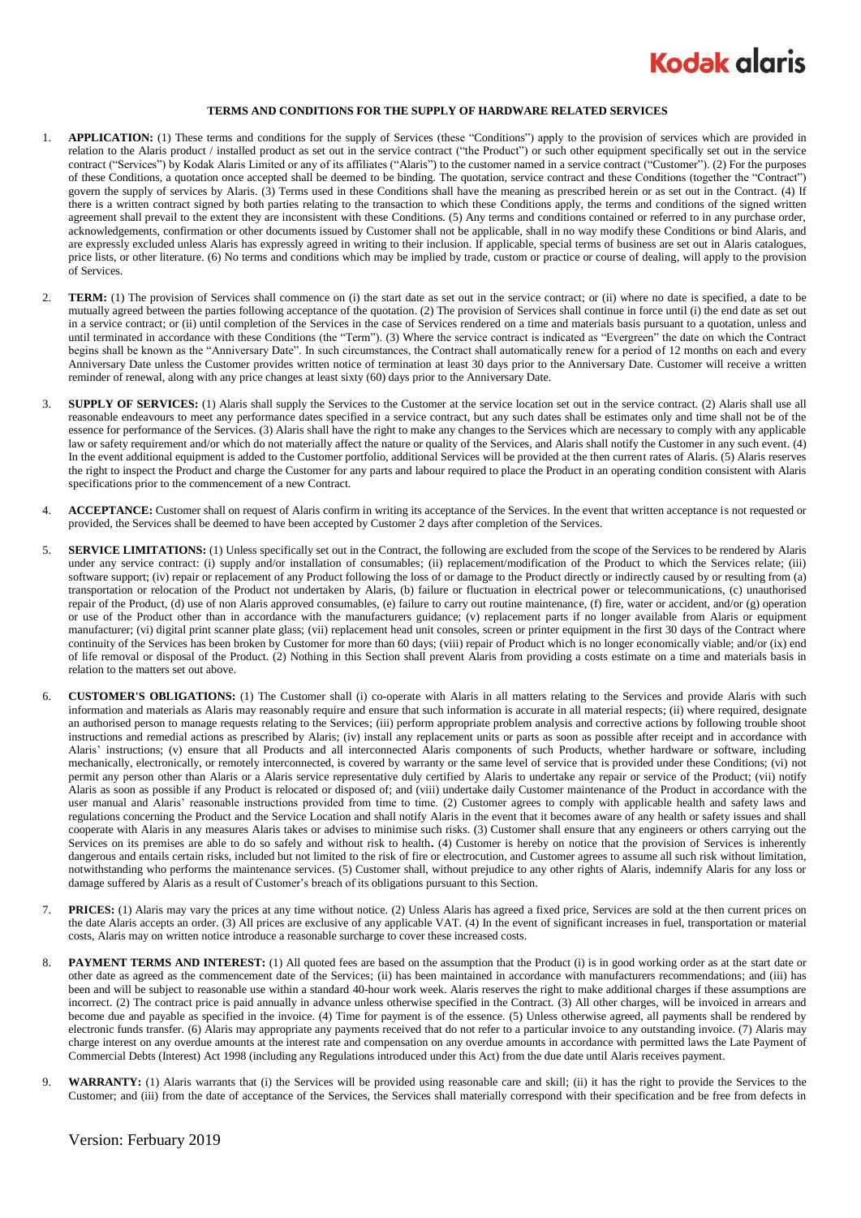

## **TERMS AND CONDITIONS FOR THE SUPPLY OF HARDWARE RELATED SERVICES**

- 1. **APPLICATION:** (1) These terms and conditions for the supply of Services (these "Conditions") apply to the provision of services which are provided in relation to the Alaris product / installed product as set out in the service contract ("the Product") or such other equipment specifically set out in the service contract ("Services") by Kodak Alaris Limited or any of its affiliates ("Alaris") to the customer named in a service contract ("Customer"). (2) For the purposes of these Conditions, a quotation once accepted shall be deemed to be binding. The quotation, service contract and these Conditions (together the "Contract") govern the supply of services by Alaris. (3) Terms used in these Conditions shall have the meaning as prescribed herein or as set out in the Contract. (4) If there is a written contract signed by both parties relating to the transaction to which these Conditions apply, the terms and conditions of the signed written agreement shall prevail to the extent they are inconsistent with these Conditions. (5) Any terms and conditions contained or referred to in any purchase order, acknowledgements, confirmation or other documents issued by Customer shall not be applicable, shall in no way modify these Conditions or bind Alaris, and are expressly excluded unless Alaris has expressly agreed in writing to their inclusion. If applicable, special terms of business are set out in Alaris catalogues, price lists, or other literature. (6) No terms and conditions which may be implied by trade, custom or practice or course of dealing, will apply to the provision of Services.
- 2. **TERM:** (1) The provision of Services shall commence on (i) the start date as set out in the service contract; or (ii) where no date is specified, a date to be mutually agreed between the parties following acceptance of the quotation. (2) The provision of Services shall continue in force until (i) the end date as set out in a service contract; or (ii) until completion of the Services in the case of Services rendered on a time and materials basis pursuant to a quotation, unless and until terminated in accordance with these Conditions (the "Term"). (3) Where the service contract is indicated as "Evergreen" the date on which the Contract begins shall be known as the "Anniversary Date". In such circumstances, the Contract shall automatically renew for a period of 12 months on each and every Anniversary Date unless the Customer provides written notice of termination at least 30 days prior to the Anniversary Date. Customer will receive a written reminder of renewal, along with any price changes at least sixty (60) days prior to the Anniversary Date.
- 3. **SUPPLY OF SERVICES:** (1) Alaris shall supply the Services to the Customer at the service location set out in the service contract. (2) Alaris shall use all reasonable endeavours to meet any performance dates specified in a service contract, but any such dates shall be estimates only and time shall not be of the essence for performance of the Services. (3) Alaris shall have the right to make any changes to the Services which are necessary to comply with any applicable law or safety requirement and/or which do not materially affect the nature or quality of the Services, and Alaris shall notify the Customer in any such event. (4) In the event additional equipment is added to the Customer portfolio, additional Services will be provided at the then current rates of Alaris. (5) Alaris reserves the right to inspect the Product and charge the Customer for any parts and labour required to place the Product in an operating condition consistent with Alaris specifications prior to the commencement of a new Contract.
- 4. **ACCEPTANCE:** Customer shall on request of Alaris confirm in writing its acceptance of the Services. In the event that written acceptance is not requested or provided, the Services shall be deemed to have been accepted by Customer 2 days after completion of the Services.
- 5. **SERVICE LIMITATIONS:** (1) Unless specifically set out in the Contract, the following are excluded from the scope of the Services to be rendered by Alaris under any service contract: (i) supply and/or installation of consumables; (ii) replacement/modification of the Product to which the Services relate; (iii) software support; (iv) repair or replacement of any Product following the loss of or damage to the Product directly or indirectly caused by or resulting from (a) transportation or relocation of the Product not undertaken by Alaris, (b) failure or fluctuation in electrical power or telecommunications, (c) unauthorised repair of the Product, (d) use of non Alaris approved consumables, (e) failure to carry out routine maintenance, (f) fire, water or accident, and/or (g) operation or use of the Product other than in accordance with the manufacturers guidance; (v) replacement parts if no longer available from Alaris or equipment manufacturer; (vi) digital print scanner plate glass; (vii) replacement head unit consoles, screen or printer equipment in the first 30 days of the Contract where continuity of the Services has been broken by Customer for more than 60 days; (viii) repair of Product which is no longer economically viable; and/or (ix) end of life removal or disposal of the Product. (2) Nothing in this Section shall prevent Alaris from providing a costs estimate on a time and materials basis in relation to the matters set out above.
- <span id="page-0-0"></span>6. **CUSTOMER'S OBLIGATIONS:** (1) The Customer shall (i) co-operate with Alaris in all matters relating to the Services and provide Alaris with such information and materials as Alaris may reasonably require and ensure that such information is accurate in all material respects; (ii) where required, designate an authorised person to manage requests relating to the Services; (iii) perform appropriate problem analysis and corrective actions by following trouble shoot instructions and remedial actions as prescribed by Alaris; (iv) install any replacement units or parts as soon as possible after receipt and in accordance with Alaris' instructions; (v) ensure that all Products and all interconnected Alaris components of such Products, whether hardware or software, including mechanically, electronically, or remotely interconnected, is covered by warranty or the same level of service that is provided under these Conditions; (vi) not permit any person other than Alaris or a Alaris service representative duly certified by Alaris to undertake any repair or service of the Product; (vii) notify Alaris as soon as possible if any Product is relocated or disposed of; and (viii) undertake daily Customer maintenance of the Product in accordance with the user manual and Alaris' reasonable instructions provided from time to time. (2) Customer agrees to comply with applicable health and safety laws and regulations concerning the Product and the Service Location and shall notify Alaris in the event that it becomes aware of any health or safety issues and shall cooperate with Alaris in any measures Alaris takes or advises to minimise such risks. (3) Customer shall ensure that any engineers or others carrying out the Services on its premises are able to do so safely and without risk to health**.** (4) Customer is hereby on notice that the provision of Services is inherently dangerous and entails certain risks, included but not limited to the risk of fire or electrocution, and Customer agrees to assume all such risk without limitation, notwithstanding who performs the maintenance services. (5) Customer shall, without prejudice to any other rights of Alaris, indemnify Alaris for any loss or damage suffered by Alaris as a result of Customer's breach of its obligations pursuant to this Section.
- 7. **PRICES:** (1) Alaris may vary the prices at any time without notice. (2) Unless Alaris has agreed a fixed price, Services are sold at the then current prices on the date Alaris accepts an order. (3) All prices are exclusive of any applicable VAT. (4) In the event of significant increases in fuel, transportation or material costs, Alaris may on written notice introduce a reasonable surcharge to cover these increased costs.
- 8. **PAYMENT TERMS AND INTEREST:** (1) All quoted fees are based on the assumption that the Product (i) is in good working order as at the start date or other date as agreed as the commencement date of the Services; (ii) has been maintained in accordance with manufacturers recommendations; and (iii) has been and will be subject to reasonable use within a standard 40-hour work week. Alaris reserves the right to make additional charges if these assumptions are incorrect. (2) The contract price is paid annually in advance unless otherwise specified in the Contract. (3) All other charges, will be invoiced in arrears and become due and payable as specified in the invoice. (4) Time for payment is of the essence. (5) Unless otherwise agreed, all payments shall be rendered by electronic funds transfer. (6) Alaris may appropriate any payments received that do not refer to a particular invoice to any outstanding invoice. (7) Alaris may charge interest on any overdue amounts at the interest rate and compensation on any overdue amounts in accordance with permitted laws the Late Payment of Commercial Debts (Interest) Act 1998 (including any Regulations introduced under this Act) from the due date until Alaris receives payment.
- 9. **WARRANTY:** (1) Alaris warrants that (i) the Services will be provided using reasonable care and skill; (ii) it has the right to provide the Services to the Customer; and (iii) from the date of acceptance of the Services, the Services shall materially correspond with their specification and be free from defects in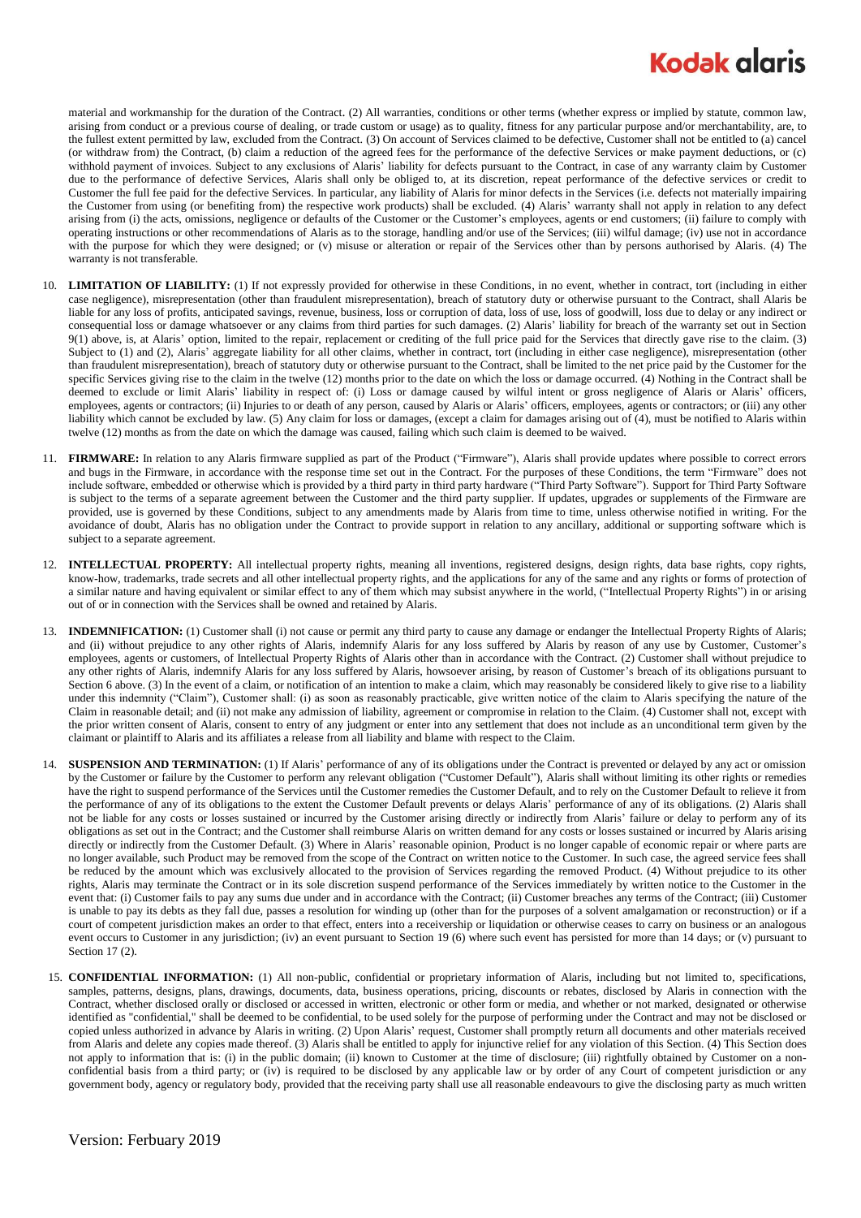## **Kodak glaris**

material and workmanship for the duration of the Contract. (2) All warranties, conditions or other terms (whether express or implied by statute, common law, arising from conduct or a previous course of dealing, or trade custom or usage) as to quality, fitness for any particular purpose and/or merchantability, are, to the fullest extent permitted by law, excluded from the Contract. (3) On account of Services claimed to be defective, Customer shall not be entitled to (a) cancel (or withdraw from) the Contract, (b) claim a reduction of the agreed fees for the performance of the defective Services or make payment deductions, or (c) withhold payment of invoices. Subject to any exclusions of Alaris' liability for defects pursuant to the Contract, in case of any warranty claim by Customer due to the performance of defective Services, Alaris shall only be obliged to, at its discretion, repeat performance of the defective services or credit to Customer the full fee paid for the defective Services. In particular, any liability of Alaris for minor defects in the Services (i.e. defects not materially impairing the Customer from using (or benefiting from) the respective work products) shall be excluded. (4) Alaris' warranty shall not apply in relation to any defect arising from (i) the acts, omissions, negligence or defaults of the Customer or the Customer's employees, agents or end customers; (ii) failure to comply with operating instructions or other recommendations of Alaris as to the storage, handling and/or use of the Services; (iii) wilful damage; (iv) use not in accordance with the purpose for which they were designed; or (v) misuse or alteration or repair of the Services other than by persons authorised by Alaris. (4) The warranty is not transferable.

- 10. **LIMITATION OF LIABILITY:** (1) If not expressly provided for otherwise in these Conditions, in no event, whether in contract, tort (including in either case negligence), misrepresentation (other than fraudulent misrepresentation), breach of statutory duty or otherwise pursuant to the Contract, shall Alaris be liable for any loss of profits, anticipated savings, revenue, business, loss or corruption of data, loss of use, loss of goodwill, loss due to delay or any indirect or consequential loss or damage whatsoever or any claims from third parties for such damages. (2) Alaris' liability for breach of the warranty set out in Section 9(1) above, is, at Alaris' option, limited to the repair, replacement or crediting of the full price paid for the Services that directly gave rise to the claim. (3) Subject to (1) and (2), Alaris' aggregate liability for all other claims, whether in contract, tort (including in either case negligence), misrepresentation (other than fraudulent misrepresentation), breach of statutory duty or otherwise pursuant to the Contract, shall be limited to the net price paid by the Customer for the specific Services giving rise to the claim in the twelve (12) months prior to the date on which the loss or damage occurred. (4) Nothing in the Contract shall be deemed to exclude or limit Alaris' liability in respect of: (i) Loss or damage caused by wilful intent or gross negligence of Alaris or Alaris' officers, employees, agents or contractors; (ii) Injuries to or death of any person, caused by Alaris or Alaris' officers, employees, agents or contractors; or (iii) any other liability which cannot be excluded by law. (5) Any claim for loss or damages, (except a claim for damages arising out of (4), must be notified to Alaris within twelve (12) months as from the date on which the damage was caused, failing which such claim is deemed to be waived.
- 11. **FIRMWARE:** In relation to any Alaris firmware supplied as part of the Product ("Firmware"), Alaris shall provide updates where possible to correct errors and bugs in the Firmware, in accordance with the response time set out in the Contract. For the purposes of these Conditions, the term "Firmware" does not include software, embedded or otherwise which is provided by a third party in third party hardware ("Third Party Software"). Support for Third Party Software is subject to the terms of a separate agreement between the Customer and the third party supplier. If updates, upgrades or supplements of the Firmware are provided, use is governed by these Conditions, subject to any amendments made by Alaris from time to time, unless otherwise notified in writing. For the avoidance of doubt, Alaris has no obligation under the Contract to provide support in relation to any ancillary, additional or supporting software which is subject to a separate agreement.
- 12. **INTELLECTUAL PROPERTY:** All intellectual property rights, meaning all inventions, registered designs, design rights, data base rights, copy rights, know-how, trademarks, trade secrets and all other intellectual property rights, and the applications for any of the same and any rights or forms of protection of a similar nature and having equivalent or similar effect to any of them which may subsist anywhere in the world, ("Intellectual Property Rights") in or arising out of or in connection with the Services shall be owned and retained by Alaris.
- 13. **INDEMNIFICATION:** (1) Customer shall (i) not cause or permit any third party to cause any damage or endanger the Intellectual Property Rights of Alaris; and (ii) without prejudice to any other rights of Alaris, indemnify Alaris for any loss suffered by Alaris by reason of any use by Customer, Customer's employees, agents or customers, of Intellectual Property Rights of Alaris other than in accordance with the Contract. (2) Customer shall without prejudice to any other rights of Alaris, indemnify Alaris for any loss suffered by Alaris, howsoever arising, by reason of Customer's breach of its obligations pursuant to Sectio[n 6](#page-0-0) above. (3) In the event of a claim, or notification of an intention to make a claim, which may reasonably be considered likely to give rise to a liability under this indemnity ("Claim"), Customer shall: (i) as soon as reasonably practicable, give written notice of the claim to Alaris specifying the nature of the Claim in reasonable detail; and (ii) not make any admission of liability, agreement or compromise in relation to the Claim. (4) Customer shall not, except with the prior written consent of Alaris, consent to entry of any judgment or enter into any settlement that does not include as an unconditional term given by the claimant or plaintiff to Alaris and its affiliates a release from all liability and blame with respect to the Claim.
- 14. **SUSPENSION AND TERMINATION:** (1) If Alaris' performance of any of its obligations under the Contract is prevented or delayed by any act or omission by the Customer or failure by the Customer to perform any relevant obligation ("Customer Default"), Alaris shall without limiting its other rights or remedies have the right to suspend performance of the Services until the Customer remedies the Customer Default, and to rely on the Customer Default to relieve it from the performance of any of its obligations to the extent the Customer Default prevents or delays Alaris' performance of any of its obligations. (2) Alaris shall not be liable for any costs or losses sustained or incurred by the Customer arising directly or indirectly from Alaris' failure or delay to perform any of its obligations as set out in the Contract; and the Customer shall reimburse Alaris on written demand for any costs or losses sustained or incurred by Alaris arising directly or indirectly from the Customer Default. (3) Where in Alaris' reasonable opinion, Product is no longer capable of economic repair or where parts are no longer available, such Product may be removed from the scope of the Contract on written notice to the Customer. In such case, the agreed service fees shall be reduced by the amount which was exclusively allocated to the provision of Services regarding the removed Product. (4) Without prejudice to its other rights, Alaris may terminate the Contract or in its sole discretion suspend performance of the Services immediately by written notice to the Customer in the event that: (i) Customer fails to pay any sums due under and in accordance with the Contract; (ii) Customer breaches any terms of the Contract; (iii) Customer is unable to pay its debts as they fall due, passes a resolution for winding up (other than for the purposes of a solvent amalgamation or reconstruction) or if a court of competent jurisdiction makes an order to that effect, enters into a receivership or liquidation or otherwise ceases to carry on business or an analogous event occurs to Customer in any jurisdiction; (iv) an event pursuant to Section 19 (6) where such event has persisted for more than 14 days; or (v) pursuant to Sectio[n 17](#page-2-0) (2).
- 15. **CONFIDENTIAL INFORMATION:** (1) All non-public, confidential or proprietary information of Alaris, including but not limited to, specifications, samples, patterns, designs, plans, drawings, documents, data, business operations, pricing, discounts or rebates, disclosed by Alaris in connection with the Contract, whether disclosed orally or disclosed or accessed in written, electronic or other form or media, and whether or not marked, designated or otherwise identified as "confidential," shall be deemed to be confidential, to be used solely for the purpose of performing under the Contract and may not be disclosed or copied unless authorized in advance by Alaris in writing. (2) Upon Alaris' request, Customer shall promptly return all documents and other materials received from Alaris and delete any copies made thereof. (3) Alaris shall be entitled to apply for injunctive relief for any violation of this Section. (4) This Section does not apply to information that is: (i) in the public domain; (ii) known to Customer at the time of disclosure; (iii) rightfully obtained by Customer on a nonconfidential basis from a third party; or (iv) is required to be disclosed by any applicable law or by order of any Court of competent jurisdiction or any government body, agency or regulatory body, provided that the receiving party shall use all reasonable endeavours to give the disclosing party as much written